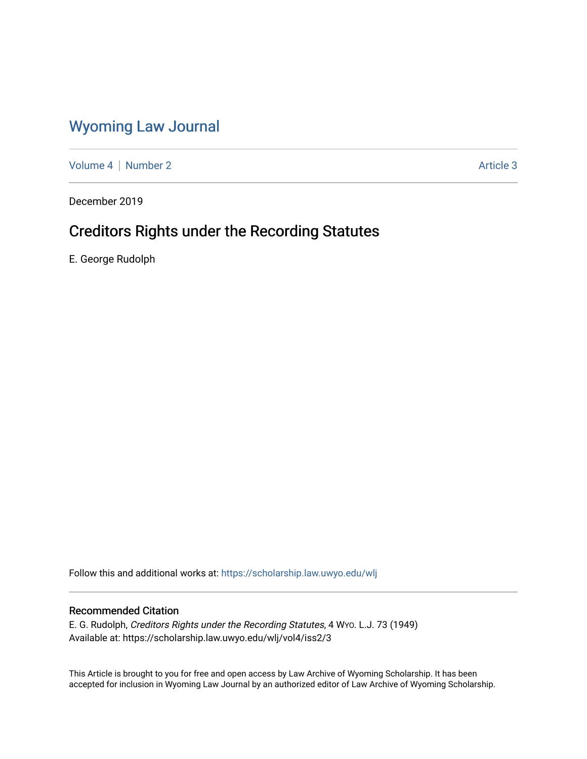## [Wyoming Law Journal](https://scholarship.law.uwyo.edu/wlj)

[Volume 4](https://scholarship.law.uwyo.edu/wlj/vol4) | [Number 2](https://scholarship.law.uwyo.edu/wlj/vol4/iss2) Article 3

December 2019

# Creditors Rights under the Recording Statutes

E. George Rudolph

Follow this and additional works at: [https://scholarship.law.uwyo.edu/wlj](https://scholarship.law.uwyo.edu/wlj?utm_source=scholarship.law.uwyo.edu%2Fwlj%2Fvol4%2Fiss2%2F3&utm_medium=PDF&utm_campaign=PDFCoverPages) 

### Recommended Citation

E. G. Rudolph, Creditors Rights under the Recording Statutes, 4 WYO. L.J. 73 (1949) Available at: https://scholarship.law.uwyo.edu/wlj/vol4/iss2/3

This Article is brought to you for free and open access by Law Archive of Wyoming Scholarship. It has been accepted for inclusion in Wyoming Law Journal by an authorized editor of Law Archive of Wyoming Scholarship.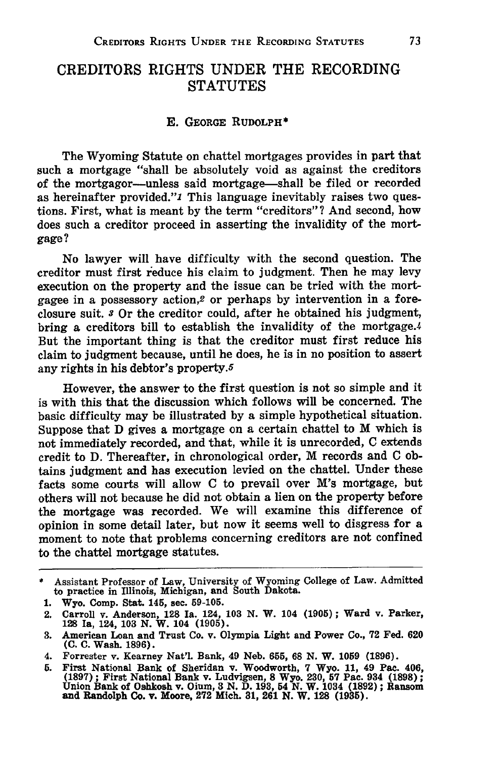### **CREDITORS RIGHTS UNDER THE RECORDING STATUTES**

#### **E.** GEORGE RUDOLPH\*

The Wyoming Statute on chattel mortgages provides in part that such a mortgage "shall be absolutely void as against the creditors of the mortgagor-unless said mortgage-shall be filed or recorded as hereinafter provided."1 This language inevitably raises two questions. First, what is meant **by** the term "creditors"? And second, how does such a creditor proceed in asserting the invalidity of the mortgage?

No lawyer will have difficulty with the second question. The creditor must first reduce his claim to judgment. Then he may levy execution on the property and the issue can be tried with the mortgagee in a possessory action,2 or perhaps **by** intervention in a foreclosure suit. **s** Or the creditor could, after he obtained his judgment, bring a creditors bill to establish the invalidity of the mortgage.4 But the important thing is that the creditor must first reduce his claim to judgment because, until he does, he is in no position to assert any rights in his debtor's property.5

However, the answer to the first question is not so simple and it is with this that the discussion which follows will be concerned. The basic difficulty may be illustrated **by** a simple hypothetical situation. Suppose that **D** gives a mortgage on a certain chattel to M which is not immediately recorded, and that, while it is unrecorded, **C** extends credit to **D.** Thereafter, in chronological order, M records and C obtains judgment and has execution levied on the chattel. Under these facts some courts will allow C to prevail over M's mortgage, but others will not because he did not obtain a lien on the property before the mortgage was recorded. We will examine this difference of opinion in some detail later, but now it seems well to disgress for a moment to note that problems concerning creditors are not confined to the chattel mortgage statutes.

<sup>\*</sup> Assistant Professor of Law, University of Wyoming College of Law. Admitted to practice in Illinois, Michigan, and South Dakota.

**<sup>1.</sup>** Wyo. Comp. Stat. 145, sec. **59-105.**

<sup>2.</sup> Carroll v. Anderson, **128** Ia. 124, **103 N.** W. 104 **(1905);** Ward v. Parker, **128** Ia, 124, 103 **N.** W. 104 **(1905).**

**<sup>3.</sup>** American Loan and Trust **Co.** v. Olympia Light and Power Co., **72** Fed. **620 (C. C.** Wash. **1896).**

<sup>4.</sup> Forrester v. Kearney Nat'l. Bank, 49 Neb. **655, 68 N.** W. **1059 (1896).**

**<sup>5.</sup>** First National Bank of Sheridan v. Woodworth, **7** Wyo. **11,** 49 Pac. 406, **(1897) ;** First National Bank v. Ludvigsen, **8** Wyo. **230, 57** Pac. **934 (1898) ;** Union Bank of Oshkosh v. Oium, **3 N. D. 193,** 54 **N.** W. 1034 (1892) **;** Ransom **and** Randolph **Co. v.** Moore, **272** Mich. **31, 261 N.** W. **128 (1935).**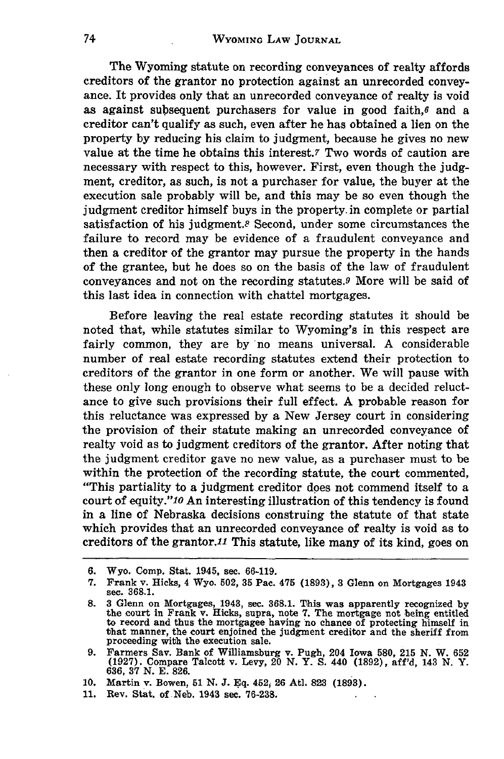The Wyoming statute on recording conveyances of realty affords creditors of the grantor no protection against an unrecorded conveyance. It provides only that an unrecorded conveyance of realty is void as against subsequent purchasers for value in good faith, $6$  and a creditor can't qualify as such, even after he has obtained a lien on the property by reducing his claim to judgment, because he gives no new value at the time he obtains this interest.7 Two words of caution are necessary with respect to this, however. First, even though the judgment, creditor, as such, is not a purchaser for value, the buyer at the execution sale probably will be, and this may be so even though the judgment creditor himself buys in the property. in complete or partial satisfaction of his judgment.8 Second, under some circumstances the failure to record may be evidence of a fraudulent conveyance and then a creditor of the grantor may pursue the property in the hands of the grantee, but he does so on the basis of the law of fraudulent conveyances and not on the recording statutes.9 More will be said of this last idea in connection with chattel mortgages.

Before leaving the real estate recording statutes it should be noted that, while statutes similar to Wyoming's in this respect are fairly common, they are by no means universal. A considerable number of real estate recording statutes extend their protection to creditors of the grantor in one form or another. We will pause with these only long enough to observe what seems to be a decided reluctance to give such provisions their full effect. A probable reason for this reluctance was expressed by a New Jersey court in considering the provision of their statute making an unrecorded conveyance of realty void as to judgment creditors of the grantor. After noting that the judgment creditor gave no new value, as a purchaser must to be within the protection of the recording statute, the court commented, "This partiality to a judgment creditor does not commend itself to a court of equity."10 An interesting illustration of this tendency is found in a line of Nebraska decisions construing the statute of that state which provides that an unrecorded conveyance of realty is void as to creditors of the grantor.11 This statute, like many of its kind, goes on

11. Rev. Stat. of Neb. 1943 sec. **76-238.**

**<sup>6.</sup>** Wyo. Comp. Stat. 1945, sec. **66-119.**

**<sup>7.</sup>** Frank v. Hicks, 4 Wyo. **502, 35** Pac. 475 **(1893), 3** Glenn on Mortgages 1943 sec. **368.1.**

**<sup>8. 3</sup>** Glenn on Mortgages, 1943, sec. **368.1.** This was apparently recognized **by** the court in Frank v. Hicks, supra, note **7.** The mortgage not being entitled to record and thus the mortgagee having no chance of protecting himself in that manner, the court enjoined the judgment creditor and the sheriff from proceeding with the execution sale.

**<sup>9.</sup>** Farmers Say. Bank of Williamsburg v. Pugh, 204 Iowa **580, 215** N. W. **652 (1927).** Compare Talcott v. Levy, 20 N. Y. **S.** 440 **(1892),** aff'd, 143 N. Y. **636, 37** N. **E. 826.**

<sup>10.</sup> Martin v. Bowen, 51 N. J. Eq. 452, 26 Atl. 823 (1893).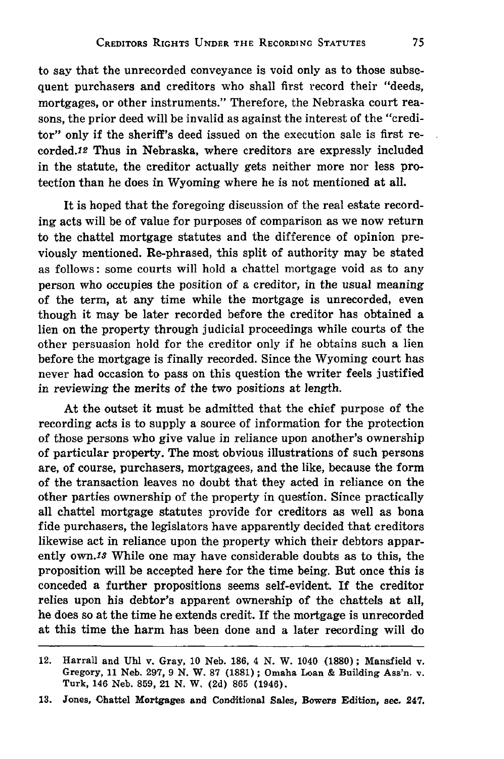to say that the unrecorded conveyance is void only as to those subsequent purchasers and creditors who shall first record their "deeds, mortgages, or other instruments." Therefore, the Nebraska court reasons, the prior deed will be invalid as against the interest of the "creditor" only if the sheriff's deed issued on the execution sale is first recorded.12 Thus in Nebraska, where creditors are expressly included in the statute, the creditor actually gets neither more nor less protection than he does in Wyoming where he is not mentioned at all.

It is hoped that the foregoing discussion of the real estate recording acts will be of value for purposes of comparison as we now return to the chattel mortgage statutes and the difference of opinion previously mentioned. Re-phrased, this split of authority may be stated as follows: some courts will hold a chattel mortgage void as to any person who occupies the position of a creditor, in the usual meaning of the term, at any time while the mortgage is unrecorded, even though it may be later recorded before the creditor has obtained a lien on the property through judicial proceedings while courts of the other persuasion hold for the creditor only if he obtains such a lien before the mortgage is finally recorded. Since the Wyoming court has never had occasion to pass on this question the writer feels justified in reviewing the merits of the two positions at length.

At the outset it must be admitted that the chief purpose of the recording acts is to supply a source of information for the protection of those persons who give value in reliance upon another's ownership of particular property. The most obvious illustrations of such persons are, of course, purchasers, mortgagees, and the like, because the form of the transaction leaves no doubt that they acted in reliance on the other parties ownership of the property in question. Since practically all chattel mortgage statutes provide for creditors as well as bona fide purchasers, the legislators have apparently decided that creditors likewise act in reliance upon the property which their debtors apparently **own.18** While one may have considerable doubts as to this, the proposition will be accepted here for the time being. But once this is conceded a further propositions seems self-evident. If the creditor relies upon his debtor's apparent ownership of the chattels at all, he does so at the time he extends credit. If the mortgage is unrecorded at this time the harm has been done and a later recording will do

<sup>12.</sup> Harrall and **Uhl** v. Gray, **10** Neb. **186,** 4 **N.** W. 1040 **(1880);** Mansfield v. Gregory, **11** Neb. **297, 9 N.** W. **87 (1881) ;** Omaha Loan **&** Building Ass'n. v. Turk, 146 Neb. **859,** 21 **N.** W. **(2d) 865** (1946).

**<sup>13.</sup>** Jones, Chattel Mortgages and Conditional Sales, Bowers Edition, see. 247.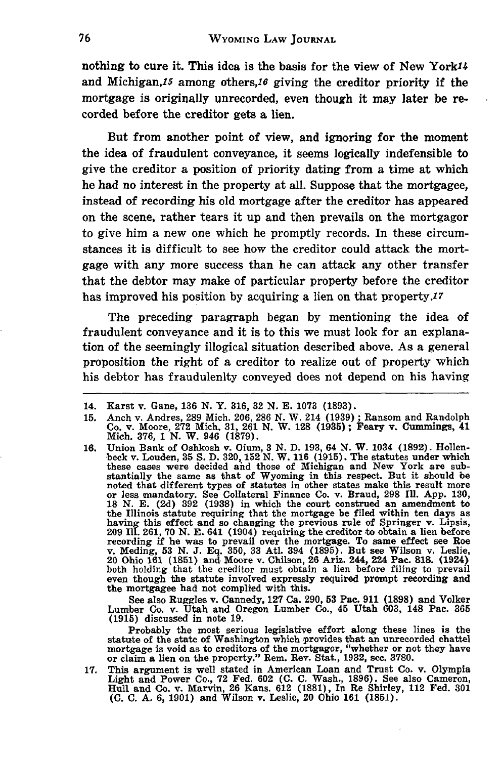nothing to cure it. This idea is the basis for the view of New York<sup>14</sup> and Michigan,15 among others,16 giving the creditor priority if the mortgage is originally unrecorded, even though it may later be recorded before the creditor gets a lien.

But from another point of view, and ignoring for the moment the idea of fraudulent conveyance, it seems logically indefensible to give the creditor a position of priority dating from a time at which he had no interest in the property at all. Suppose that the mortgagee, instead of recording his old mortgage after the creditor has appeared on the scene, rather tears it up and then prevails on the mortgagor to give him a new one which he promptly records. In these circumstances it is difficult to see how the creditor could attack the mortgage with any more success than he can attack any other transfer that the debtor may make of particular property before the creditor has improved his position **by** acquiring a lien on that property.17

The preceding paragraph began **by** mentioning the idea of fraudulent conveyance and it is to this we must look for an explanation of the seemingly illogical situation described above. As a general proposition the right of a creditor to realize out of property which his debtor has fraudulenlty conveyed does not depend on his having

See also Ruggles v. Cannedy, **127** Ca. **290, 53** Pac. **911 (1898)** and Volker Lumber Co. v. Utah and Oregon Lumber Co., 45 Utah **603,** 148 Pac. **365 (1915)** discussed in note **19.**

Probably the most serious legislative effort along these lines is the statute of the state of Washington which provides that an unrecorded chattel mortgage is void as to creditors of the mortgagor, "whether or not they have or claim a lien on the property." Rem. Rev. Stat., **1932,** sec. **3780.**

17. This argument is well stated in American Loan and Trust Co. v. Olympia<br>Light and Power Co., 72 Fed. 602 (C. C. Wash., 1896). See also Cameron<br>Hull and Co. v. Marvin, 26 Kans. 612 (1881), In Re Shirley, 112 Fed. 301 **(C. C. A, 6, 1901)** and Wilson v. Leslie, 20 Ohio **161 (1851).**

<sup>14.</sup> Karst v. Gane, **136 N.** Y. **316, 32 N. E. 1073 (1893).**

<sup>15.</sup> Anch v. Andres, 289 Mich. 206, 286 N. W. 214 (1939); Ransom and Randolph Co. v. Moore, 272 Mich. 31, 261 N. W. 128 (1935); Feary v. Cummings, 41 Mich. 376, 1 N. W. 946 (1879).

**<sup>16.</sup>** Union Bank of Oshkosh v. Oium, **3 N. D. 193,** 64 **N.** W. 1034 **(1892).** Hollen-beck v. Louden, **35 S. D. 320, 152 N.** W. **116 (1915).** The statutes under which these cases were decided **ahd** those of Michigan and New York are substantially the same as that of Wyoming in this respect. But it should be noted that different types of statutes in other states make this result more or less mandatory. See Collateral Finance Co. v. Braud, 298 Ill. App. 13 the Illinois statute requiring that the mortgage be filed within ten days as<br>having this effect and so changing the previous rule of Springer v. Lipsis.<br>209 Ill. 261, 70 N. E. 641 (1904) requiring the creditor to obtain a recording if he was to prevail over the mortgage. To same effect see Ros<br>v. Meding, 53 N. J. Eq. 350, 33 Atl. 394 (1895). But see Wilson v. Leslie.<br>20 Ohio 161 (1851) and Moore v. Chilson, 26 Ariz. 244, 224 Pac. 818. (1924 both holding that the creditor must obtain a lien before filing to prevail even though the statute involved expressly required prompt recording and the mortgagee had not complied with this.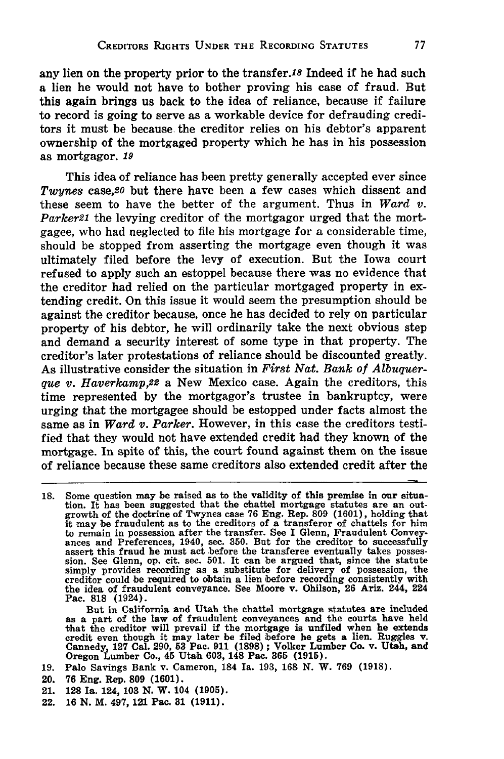any lien on the property prior to the transfer.18 Indeed if he had such a lien he would not have to bother proving his case of fraud. But this again brings us back to the idea of reliance, because if failure to record is going to serve as a workable device for defrauding creditors it must be because the creditor relies on his debtor's apparent ownership of the mortgaged property which he has in his possession as mortgagor. *19*

This idea of reliance has been pretty generally accepted ever since *Twynes* case,20 but there have been a few cases which dissent and these seem to have the better of the argument. Thus in *Ward v. Parker2l* the levying creditor of the mortgagor urged that the mortgagee, who had neglected to file his mortgage for a considerable time, should be stopped from asserting the mortgage even though it was ultimately filed before the levy of execution. But the Iowa court refused to apply such an estoppel because there was no evidence that the creditor had relied on the particular mortgaged property in extending credit. On this issue it would seem the presumption should be against the creditor because, once he has decided to rely on particular property of his debtor, he will ordinarily take the next obvious step and demand a security interest of some type in that property. The creditor's later protestations of reliance should be discounted greatly. As illustrative consider the situation in *First Nat. Bank of Albuquerque v. Haverkamp,22* a New Mexico case. Again the creditors, this time represented **by** the mortgagor's trustee in bankruptcy, were urging that the mortgagee should be estopped under facts almost the same as in *Ward v. Parker.* However, in this case the creditors testified that they would not have extended credit had they known of the mortgage. In spite of this, the court found against them on the issue of reliance because these same creditors also extended credit after the

But in California and Utah the chattel mortgage statutes are included as a part of the law of fraudulent conveyances and the courts have held that the creditor will prevail if the mortgage is unfiled when he extends<br>credit even though it may later be filed before he gets a lien. Ruggles v.<br>Cannedy, 127 Cal. 290, 53 Pac. 911 (1898); Volker Lumber Co. v. Utah, and

- **19.** Palo Savings Bank v. Cameron, 184 Ia. **193, 168 N.** W. **769 (1918).**
- 20. **76** Eng. Rep. **809 (1601).**
- 21. **128** Ia. 124, **103 N.** W. 104 **(1905).**
- 22. **16 N.** M. 497, 121 Pac. **31 (1911).**

**<sup>18.</sup>** Some question may be raised as to the validity of this premise in our situation. It has been suggested that the chattel mortgage statutes are an out-growth of the doctrine of Twynes case **76** Eng. Rep. **809 (1601),** holding that it may be fraudulent as to the creditors of a transferor of chattels for him to remain in possession after the transfer. See I Glenn, Fraudulent Conveyances and Preferences, 1940, see. **350.** But for the creditor to successfully assert this fraud he must act before the transferee eventually takes posses-sion. See Glenn, op. cit. sec. **501.** It can be argued that, since the statute simply provides recording as a substitute for delivery of possession, the creditor could be required to obtain a lien before recording consistently with the idea of fraudulent conveyance. See Moore v. Ohilson, **26** Ariz. 244, 224 Pac. **818** (1924).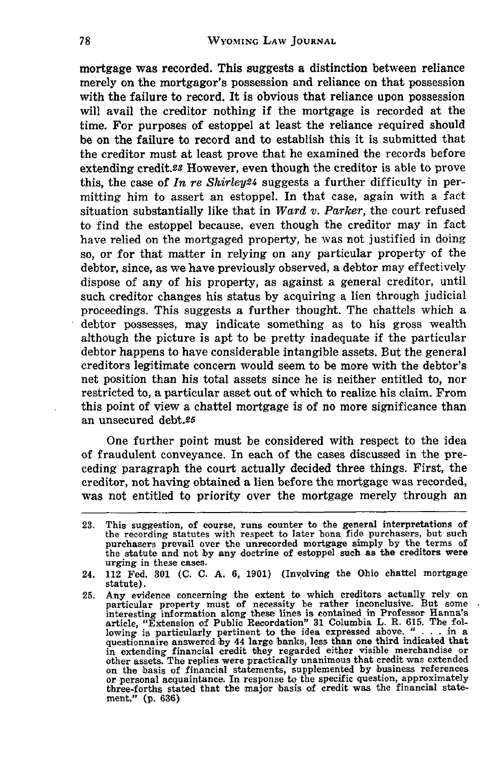**mortgage was** recorded. This suggests a distinction between reliance merely on the mortgagor's possession and reliance on that possession with the failure to record. It is obvious that reliance upon possession will avail the creditor nothing if the mortgage is recorded at the time. For purposes of estoppel at least the reliance required should be on the failure to record and to establish this it is submitted that the creditor must at least prove that he examined the records before extending credit.23 However, even though the creditor is able to prove this, the case of *In re Shirley24* suggests a further difficulty in permitting him to assert an estoppel. In that case, again with a fact situation substantially like that in *Ward v. Parker,* the court refused to find the estoppel because, even though the creditor may in fact have relied on the mortgaged property, he was not justified in doing so, or for that matter in relying on any particular property of the debtor, since, as we have previously observed, a debtor may effectively dispose of any of his property, as against a general creditor, until such creditor changes his status by acquiring a lien through judicial proceedings. This suggests a further thought. The chattels which a debtor possesses, may indicate something as to his gross wealth although the picture is apt to be pretty inadequate if the particular debtor happens to have considerable intangible assets. But the general creditors legitimate concern would seem to be more with the debtor's net position than his total assets since he is neither entitled to, nor restricted to, a particular asset out of which to realize his claim. From this point of view a chattel mortgage is of no more significance than an unsecured debt.25

One further point must be considered with respect to the idea of fraudulent conveyance. In each of the cases discussed in the preceding paragraph the court actually decided three things. First, the creditor, not having obtained a lien before the mortgage was recorded, was not entitled to priority over the mortgage merely through an

<sup>23.</sup> This suggestion, of course, runs counter to the general interpretations of the recording statutes with respect to later bona fide purchasers, but such purchasers prevail over the unrecorded mortgage simply **by** the terms of the statute and not **by** any doctrine of estoppel such as the creditors were urging in these cases.

<sup>24. 112</sup> Fed. **301** (C. **C.** A. **6, 1901)** (Involving the Ohio chattel mortgage statute).

**<sup>25.</sup>** Any evidence concerning the extent to which creditors actually rely on particular property must of necessity be rather inconclusive. But some interesting information along these lines is contained in Professor Hanna's article, "Extension of Public Recordation" 31 Columbia L. R. 615. The fol-<br>lowing is particularly pertinent to the idea expressed above. " . . . in a<br>questionnaire answered by 44 large banks, less than one third indicated in extending financial credit they regarded either visible merchandise or other assets. The replies were practically unanimous that credit was extended on the basis of financial statements, supplemented **by** business references or personal acquaintance. In response to the specific question, approximately three-forths stated that the major basis of credit was the financial statement." **(p. 636)**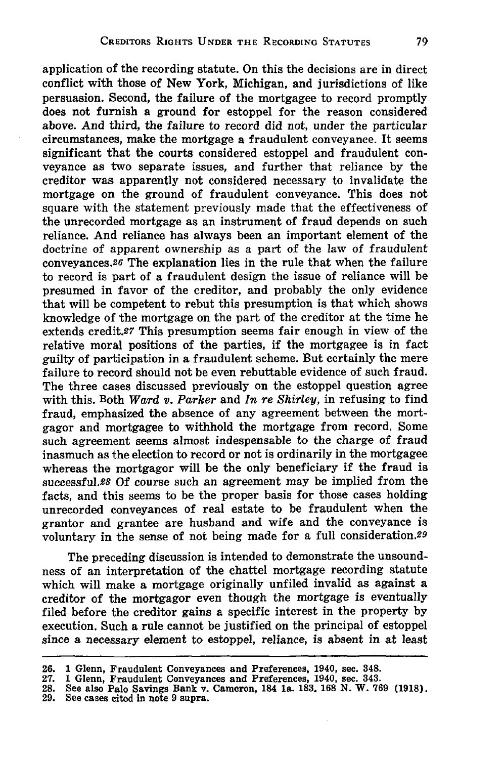application of the recording statute. On this the decisions are in direct conflict with those of New York, Michigan, and jurisdictions of like persuasion. Second, the failure of the mortgagee to record promptly does not furnish a ground for estoppel for the reason considered above. And third, the failure to record did not, under the particular circumstances, make the mortgage a fraudulent conveyance. It seems significant that the courts considered estoppel and fraudulent conveyance as two separate issues, and further that reliance **by** the creditor was apparently not considered necessary to invalidate the mortgage on the ground of fraudulent conveyance. This does not square with the statement previously made that the effectiveness of the unrecorded mortgage as an instrument of fraud depends on such reliance. And reliance has always been an important element of the doctrine of apparent ownership as a part of the law of fraudulent conveyances.26 The explanation lies in the rule that when the failure to record is part of a fraudulent design the issue of reliance will be presumed in favor of the creditor, and probably the only evidence that will be competent to rebut this presumption is that which shows knowledge of the mortgage on the part of the creditor at the time he extends credit.27 This presumption seems fair enough in view of the relative moral positions of the parties, if the mortgagee is in fact guilty of participation in a fraudulent scheme. But certainly the mere failure to record should not be even rebuttable evidence of such fraud. The three cases discussed previously on the estoppel question agree with this. Both Ward *v. Parker* and *In re Shirley,* in refusing to find fraud, emphasized the absence of any agreement between the mortgagor and mortgagee to withhold the mortgage from record. Some such agreement seems almost indespensable to the charge of fraud inasmuch as the election to record or not is ordinarily in the mortgagee whereas the mortgagor will be the only beneficiary if the fraud is successful.28 Of course such an agreement may be implied from the facts, and this seems to be the proper basis for those cases holding unrecorded conveyances of real estate to be fraudulent when the grantor and grantee are husband and wife and the conveyance is voluntary in the sense of not being made for a full consideration.29

The preceding discussion is intended to demonstrate the unsoundness of an interpretation of the chattel mortgage recording statute which will make a mortgage originally unfiled invalid as against a creditor of the mortgagor even though the mortgage is eventually filed before the creditor gains a specific interest in the property **by** execution. Such a rule cannot be justified on the principal of estoppel since a necessary element to estoppel, reliance, is absent in at least

**<sup>26. 1</sup>** Glenn, Fraudulent Conveyances and Preferences, 1940, sec. 348.

**<sup>27. 1</sup>** Glenn, Fraudulent Conveyances and Preferences, 1940, sec. 343.

**<sup>28.</sup>** See also Palo Savings Bank v. Cameron, 184 **la. 183. 168 N.** W. **769 (1918). 29.** See cases cited in note **9** supra.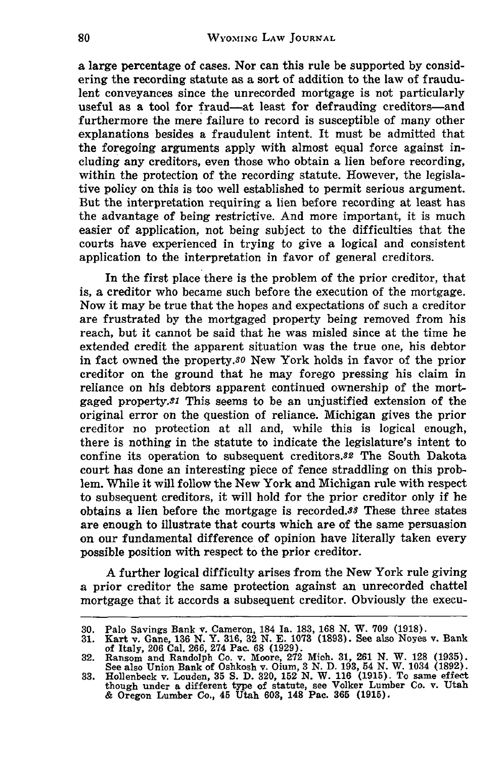a large percentage of cases. Nor can this rule be supported **by** considering the recording statute as a sort of addition to the law of fraudulent conveyances since the unrecorded mortgage is not particularly useful as a tool for fraud-at least for defrauding creditors-and furthermore the mere failure to record is susceptible of many other explanations besides a fraudulent intent. It must be admitted that the foregoing arguments apply with almost equal force against including any creditors, even those who obtain a lien before recording, within the protection of the recording statute. However, the legislative policy on this is too well established to permit serious argument. But the interpretation requiring a lien before recording at least has the advantage of being restrictive. And more important, it is much easier of application, not being subject to the difficulties that the courts have experienced in trying to give a logical and consistent application to the interpretation in favor of general creditors.

In the first place there is the problem of the prior creditor, that is, a creditor who became such before the execution of the mortgage. Now it may be true that the hopes and expectations of such a creditor are frustrated **by** the mortgaged property being removed from his reach, but it cannot be said that he was misled since at the time he extended credit the apparent situation was the true one, his debtor in fact owned the property.<sup>30</sup> New York holds in favor of the prior creditor on the ground that he **may** forego pressing his claim in reliance on his debtors apparent continued ownership of the mortgaged property.<sup>31</sup> This seems to be an unjustified extension of the original error on the question of reliance. Michigan gives the prior creditor no protection at all and, while this is logical enough, there is nothing in the statute to indicate the legislature's intent to confine its operation to subsequent creditors.82 The South Dakota court has done an interesting piece of fence straddling on this problem. While it will follow the New York and Michigan rule with respect to subsequent creditors, it will hold for the prior creditor only if he obtains a lien before the mortgage is recorded.88 These three states are enough to illustrate that courts which are of the same persuasion on our fundamental difference of opinion have literally taken every possible position with respect to the prior creditor.

A further logical difficulty arises from the New York rule giving a prior creditor the same protection against an unrecorded chattel mortgage that it accords a subsequent creditor. Obviously the execu-

<sup>30.</sup> Palo Savings Bank v. Cameron, 184 Ia. 183, 168 N. W. 709 (1918).<br>31. Kart v. Gane, 136 N. Y. 316, 32 N. E. 1073 (1893). See also Noyes v. Bank<br>of Italy, 206 Cal. 266, 274 Pac. 68 (1929).<br>32. Ransom and Randolph Co. v.

See also Union Bank of Oshkosh v. Oium, 3 **N. D. 193,** 54 **N.** W. 1034 **(1892). 33.** Hollenbeck v. Louden, **35 S. D. 320, 152 N.** W. **116 (1915).** To same effect

though under a different type of statute, see Volker Lumber Co. v. Utah **&** Oregon Lumber Co., 45 Utah **603,** 148 Pac. **365 (1915).**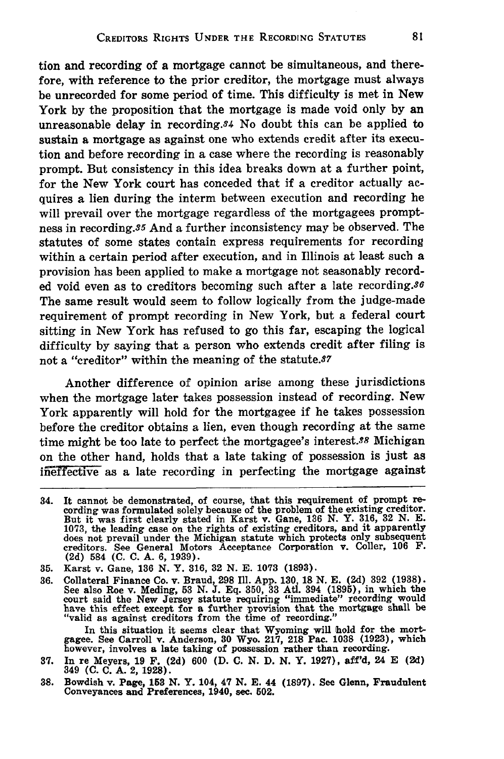tion and recording of a mortgage cannot be simultaneous, and therefore, with reference to the prior creditor, the mortgage must always be unrecorded for some period of time. This difficulty is met in New York **by** the proposition that the mortgage is made void only **by** an unreasonable delay in recording.84 No doubt this can be applied to sustain a mortgage as against one who extends credit after its execution and before recording in a case where the recording is reasonably prompt. But consistency in this idea breaks down at a further point, for the New York court has conceded that if a creditor actually acquires a lien during the interm between execution and recording he will prevail over the mortgage regardless of the mortgagees promptness in recording.35 And a further inconsistency may be observed. The statutes of some states contain express requirements for recording within a certain period after execution, and in Illinois at least such a provision has been applied to make a mortgage not seasonably recorded void even as to creditors becoming such after a late recording.86 The same result would seem to follow logically from the judge-made requirement of prompt recording in New York, but a federal court sitting in New York has refused to go this far, escaping the logical difficulty by saying that a person who extends credit after filing is not a "creditor" within the meaning of the statute.87

Another difference of opinion arise among these jurisdictions when the mortgage later takes possession instead of recording. New York apparently will hold for the mortgagee if he takes possession before the creditor obtains a lien, even though recording at the same time might be too late to perfect the mortgagee's interest.<sup>88</sup> Michigan on the other hand, holds that a late taking of possession is just as ineffective as a late recording in perfecting the mortgage against

**35.** Karst v. Gane, **136 N.** Y. **316,** 32 **N. E. 1073 (1893).**

**36.** Collateral Finance Co. v. Braud, **298 Ill. App. 130, 18 N. E. (2d) 392 (1938).** See also Roe v. Meding, **53 N. J. Eq. 350, 33 Atl.** 394 **(1895),** in which the court said the New Jersey statute requiring "immediate" recording would have this effect except for a further provision that the mortgage shall be "valid as against creditors from the time of recording."

In this situation it seems clear that Wyoming will hold for the mort-gagee. See Carroll v. Anderson, **30** Wyo. **217, 218** Pac. **1038 (1923),** which however, involves a late taking of possession rather than recording.

- **37.** In re Meyers, 19 F. **(2d) 600 (D. C. N.** D. N. Y. 1927), aff'd, 24 E **(2d)** 349 **(C. C. A.** 2, **1928).**
- **38.** Bowdish v. Page, **153 N.** Y. 104, 47 **N. E.** 44 **(1897).** See Glenn, Fraudulent Conveyances and Preferences, 1940, sec. 502.

<sup>34.</sup> It cannot be demonstrated, of course, that this requirement of prompt recording was formulated solely because of the problem of the existing creditor.<br>But it was first clearly stated in Karst v. Gane, 136 N. Y. 316, 32 **1073,** the leading case on the rights of existing creditors, and it apparently does not prevail under the Michigan statute which protects only subsequent creditors. See General Motors Acceptance Corporation v. Coller, **106** F. **(2d) 584 (C. C. A. 6, 1939).**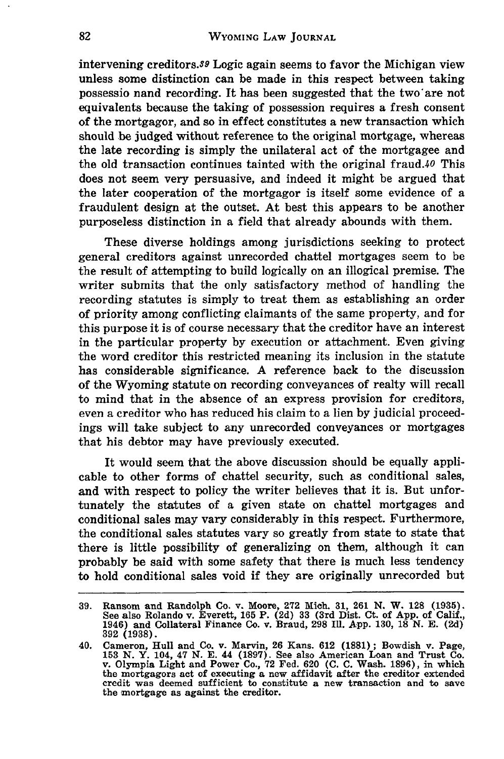intervening creditors.39 Logic again seems to favor the Michigan view unless some distinction can be made in this respect between taking possessio nand recording. It has been suggested that the two'are not equivalents because the taking of possession requires a fresh consent of the mortgagor, and so in effect constitutes a new transaction which should be judged without reference to the original mortgage, whereas the late recording is simply the unilateral act of the mortgagee and the old transaction continues tainted with the original fraud.40 This does not seem very persuasive, and indeed it might be argued that the later cooperation of the mortgagor is itself some evidence of a fraudulent design at the outset. At best this appears to be another purposeless distinction in a field that already abounds with them.

These diverse holdings among jurisdictions seeking to protect general creditors against unrecorded chattel mortgages seem to be the result of attempting to build logically on an illogical premise. The writer submits that the only satisfactory method of handling the recording statutes is simply to treat them as establishing an order of priority among conflicting claimants of the same property, and for this purpose it is of course necessary that the creditor have an interest in the particular property by execution or attachment. Even giving the word creditor this restricted meaning its inclusion in the statute has considerable significance. A reference back to the discussion of the Wyoming statute on recording conveyances of realty will recall to mind that in the absence of an express provision for creditors, even a creditor who has reduced his claim to a lien **by** judicial proceedings will take subject to any unrecorded conveyances or mortgages that his debtor may have previously executed.

It would seem that the above discussion should be equally applicable to other forms of chattel security, such as conditional sales, and with respect to policy the writer believes that it is. But unfortunately the statutes of a given state on chattel mortgages and conditional sales may vary considerably in this respect. Furthermore, the conditional sales statutes vary so greatly from state to state that there is little possibility of generalizing on them, although it can probably be said with some safety that there is much less tendency to hold conditional sales void if they are originally unrecorded but

**<sup>39.</sup>** Ransom and Randolph Co. v. Moore, **272** Mich. **31, 261 N.** W. **128 (1935).** See also Rolando v. Everett, **165** P. **(2d) 33** (3rd Dist. Ct. of **App.** of Calif., 1946) and Collateral Finance **Co.** v. Braud, **298 Ill. App. 130, 18 N. E. (2d) 392 (1938).**

<sup>40.</sup> Cameron, Hull and Co. v. Marvin, 26 Kans. 612 (1881); Bowdish v. Page, 153 N. Y. 104, 47 N. E. 44 (1897). See also American Loan and Trust Co. v. Olympia Light and Power Co., 72 Fed. 620 (C. C. Wash. 1896), in which th credit was deemed sufficient to constitute a new transaction and to save the mortgage as against the creditor.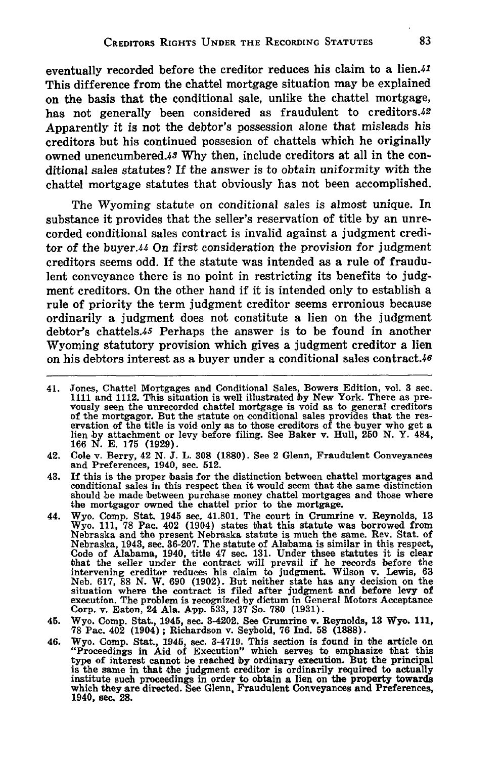eventually recorded before the creditor reduces his claim to a lien.41 This difference from the chattel mortgage situation may be explained on the basis that the conditional sale, unlike the chattel mortgage, has not generally been considered as fraudulent to creditors.42 Apparently it is not the debtor's possession alone that misleads his creditors but his continued possesion of chattels which he originally owned unencumbered.48 **Why** then, include creditors at all in the conditional sales statutes? **If** the answer is to obtain uniformity with the chattel mortgage statutes that obviously has not been accomplished.

The Wyoming statute on conditional sales is almost unique. In substance it provides that the seller's reservation of title **by** an unrecorded conditional sales contract is invalid against a judgment creditor of the buyer.44 On first consideration the provision for judgment creditors seems odd. If the statute was intended as a rule of fraudulent conveyance there is no point in restricting its benefits to **judg**ment creditors. On the other hand if it is intended only to establish a rule of priority the term judgment creditor seems erronious because ordinarily a judgment does not constitute a lien on the judgment debtor's chattels.45 Perhaps the answer is to be found in another Wyoming statutory provision which gives a judgment creditor a lien on his debtors interest as a buyer under a conditional sales contract. $46$ 

- 42. Cole v. Berry, 42 **N. J.** L. **308 (1880).** See 2 Glenn, Fraudulent Conveyances and Preferences, 1940, see. 512.
- 43. If this is the proper basis for the distinction between chattel mortgages and conditional sales in this respect then it would seem that the same distinction should be made between purchase money chattel mortgages and those where the mortgagor owned the chattel prior to the mortgage.
- 44. Wyo. Comp. Stat. 1945 sec. 41.801. The court in Crumrine v. Reynolds, **13** Wyo. **111, 78** Pac. 402 (1904) states that this statute was borrowed from Nebraska and the present Nebraska statute is much the same. Rev. Stat. of Nebraska, 1943, sec. **36-207.** The statute of Alabama is similar in this respect, Code of Alabama, 1940, title 47 sec. 131. Under thsee statutes it is clear<br>that the seller under the contract will prevail if he records before the<br>intervening creditor reduces his claim to judgment. Wilson v. Lewis, 63<br>Ne Corp. v. Eaton, 24 **Ala.** App. **533, 137** So. **780 (1931).**
- 45. Wyo. Comp. Stat., 1945, see. 3-4202. See Crumrine v. Reynolds, **13** Wyo. **111, 78** Pac. 402 (1904); Richardson v. Seybold, **76 Ind. 58 (1888).**
- 46. Wyo. Comp. Stat., 1945, sec. 3-4719. This section is found in the article on "Proceedings in Aid of Execution" which serves to emphasize that this type of interest cannot be reached **by** ordinary execution. But the principal is the same in that the judgment creditor is ordinarily required to actually institute such proceedings in order to obtain a lien on the property towards which they are directed. See Glenn, Fraudulent Conveyances and Preferences, 1940, sec. **28.**

<sup>41.</sup> Jones, Chattel Mortgages and Conditional Sales, Bowers Edition, vol. 3 **sec. 1111** and 1112. This situation is well illustrated **by** New York. There as prevously seen the unrecorded chattel mortgage is void as to general creditors voltable mortgager. But the statute on conditional sales provides that the res-<br>ervation of the title is void only as to those creditors of the buyer who get a<br>lien by attachment or levy before filing. See Baker v. Hull, 2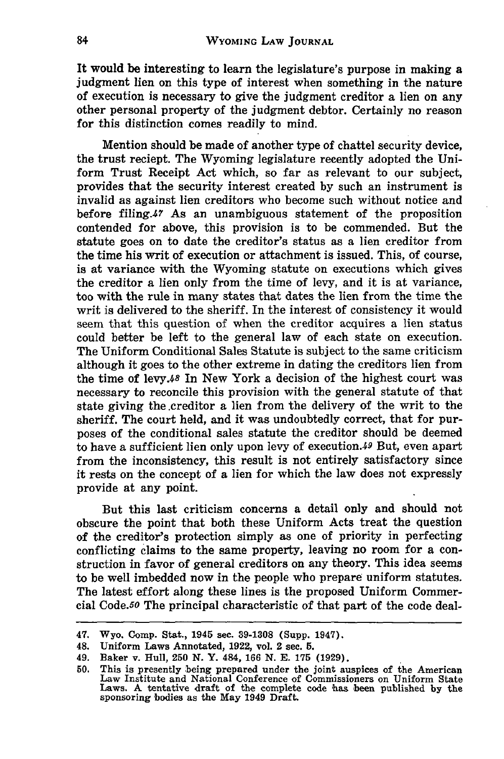It would be interesting to learn the legislature's purpose in making a judgment lien on this type of interest when something in the nature of execution is necessary to give the judgment creditor a lien on any other personal property of the judgment debtor. Certainly no reason for this distinction comes readily to mind.

Mention should be made of another type of chattel security device, the trust reciept. The Wyoming legislature recently adopted the Uniform Trust Receipt Act which, so far as relevant to our subject, provides that the security interest created **by** such an instrument is invalid as against lien creditors who become such without notice and before filing.47 As an unambiguous statement of the proposition contended for above, this provision is to be commended. But the statute goes on to date the creditor's status as a lien creditor from the time his writ of execution or attachment is issued. This, of course, is at variance with the Wyoming statute on executions which gives the creditor a lien only from the time of levy, and it is at variance, too with the rule in many states that dates the lien from the time the writ is delivered to the sheriff. In the interest of consistency it would seem that this question of when the creditor acquires a lien status could better be left to the general law of each state on execution. The Uniform Conditional Sales Statute is subject to the same criticism although it goes to the other extreme in dating the creditors lien from the time of levy.48 In New York a decision of the highest court was necessary to reconcile this provision with the general statute of that state giving the.creditor a lien from the delivery of the writ to the sheriff. The court held, and it was undoubtedly correct, that for purposes of the conditional sales statute the creditor should be deemed to have a sufficient lien only upon levy of execution.49 But, even apart from the inconsistency, this result is not entirely satisfactory since it rests on the concept of a lien for which the law does not expressly provide at any point.

But this last criticism concerns a detail only and should not obscure the point that both these Uniform Acts treat the question of the creditor's protection simply as one of priority in perfecting conflicting claims to the same property, leaving no room for a construction in favor of general creditors on any theory. This idea seems to be well imbedded now in the people who prepare uniform statutes. The latest effort along these lines is the proposed Uniform Commercial Code.50 The principal characteristic of that part of the code deal-

<sup>47.</sup> Wyo. Comp. Stat., 1945 sec. **39-1308** (Supp. 1947).

<sup>48.</sup> Uniform Laws Annotated, **1922,** vol. 2 sec. **5.**

<sup>49.</sup> Baker v. Hull, **250 N.** Y. 484, 166 **N. E. 175 (1929).**

**<sup>50.</sup>** This is presently being prepared under the joint auspices of the American Law Institute and National Conference of Commissioners on Uniform State Laws. A tentative draft of the complete code 'has been published **by** the sponsoring bodies as the May 1949 Draft.